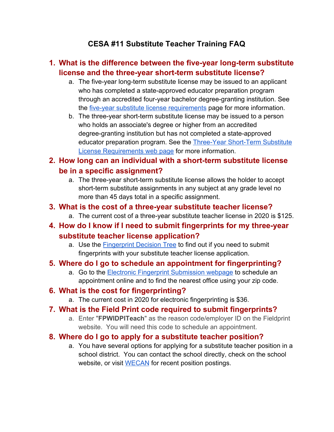# **CESA #11 Substitute Teacher Training FAQ**

# **1. What is the difference between the five-year long-term substitute license and the three-year short-term substitute license?**

- a. The five-year long-term substitute license may be issued to an applicant who has completed a state-approved educator preparation program through an accredited four-year bachelor degree-granting institution. See the *five-year substitute license requirements* page for more information.
- b. The three-year short-term substitute license may be issued to a person who holds an associate's degree or higher from an accredited degree-granting institution but has not completed a state-approved educator preparation program. See the [Three-Year Short-Term Substitute](https://dpi.wi.gov/licensing/apply-educator-license/sub-permit) [License Requirements web page](https://dpi.wi.gov/licensing/apply-educator-license/sub-permit) for more information.
- **2. How long can an individual with a short-term substitute license be in a specific assignment?**
	- a. The three-year short-term substitute license allows the holder to accept short-term substitute assignments in any subject at any grade level no more than 45 days total in a specific assignment.
- **3. What is the cost of a three-year substitute teacher license?**
	- a. The current cost of a three-year substitute teacher license in 2020 is \$125.
- **4. How do I know if I need to submit fingerprints for my three-year substitute teacher license application?**
	- a. Use the [Fingerprint Decision Tree](https://dpi.wi.gov/licensing/background-check-maintain-lifetime-license/decision-tree) to find out if you need to submit fingerprints with your substitute teacher license application.

# **5. Where do I go to schedule an appointment for fingerprinting?**

a. Go to the **Electronic Fingerprint Submission webpage** to schedule an appointment online and to find the nearest office using your zip code.

# **6. What is the cost for fingerprinting?**

a. The current cost in 2020 for electronic fingerprinting is \$36.

# **7. What is the Field Print code required to submit fingerprints?**

a. Enter "**FPWIDPITeach**" as the reason code/employer ID on the Fieldprint website. You will need this code to schedule an appointment.

# **8. Where do I go to apply for a substitute teacher position?**

a. You have several options for applying for a substitute teacher position in a school district. You can contact the school directly, check on the school website, or visit [WECAN](https://wecan.education.wisc.edu/#/) for recent position postings.